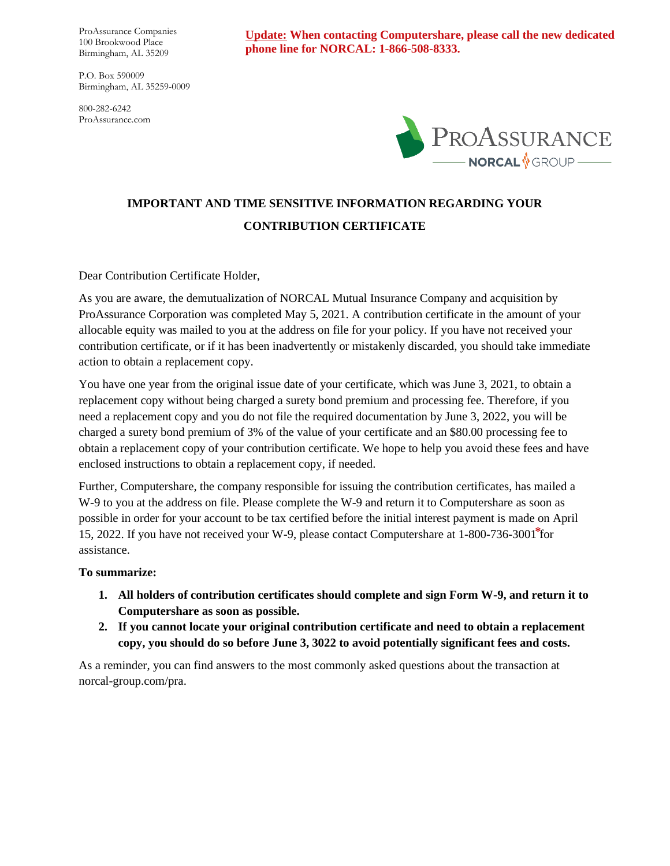ProAssurance Companies 100 Brookwood Place Birmingham, AL 35209

P.O. Box 590009 Birmingham, AL 35259-0009

800-282-6242 ProAssurance.com **Update: When contacting Computershare, please call the new dedicated phone line for NORCAL: 1-866-508-8333.**



# **IMPORTANT AND TIME SENSITIVE INFORMATION REGARDING YOUR CONTRIBUTION CERTIFICATE**

Dear Contribution Certificate Holder,

As you are aware, the demutualization of NORCAL Mutual Insurance Company and acquisition by ProAssurance Corporation was completed May 5, 2021. A contribution certificate in the amount of your allocable equity was mailed to you at the address on file for your policy. If you have not received your contribution certificate, or if it has been inadvertently or mistakenly discarded, you should take immediate action to obtain a replacement copy.

You have one year from the original issue date of your certificate, which was June 3, 2021, to obtain a replacement copy without being charged a surety bond premium and processing fee. Therefore, if you need a replacement copy and you do not file the required documentation by June 3, 2022, you will be charged a surety bond premium of 3% of the value of your certificate and an \$80.00 processing fee to obtain a replacement copy of your contribution certificate. We hope to help you avoid these fees and have enclosed instructions to obtain a replacement copy, if needed.

Further, Computershare, the company responsible for issuing the contribution certificates, has mailed a W-9 to you at the address on file. Please complete the W-9 and return it to Computershare as soon as possible in order for your account to be tax certified before the initial interest payment is made on April 15, 2022. If you have not received your W-9, please contact Computershare at 1-800-736-3001<sup>\*</sup>for assistance.

#### **To summarize:**

- **1. All holders of contribution certificates should complete and sign Form W-9, and return it to Computershare as soon as possible.**
- **2. If you cannot locate your original contribution certificate and need to obtain a replacement copy, you should do so before June 3, 3022 to avoid potentially significant fees and costs.**

As a reminder, you can find answers to the most commonly asked questions about the transaction at norcal-group.com/pra.